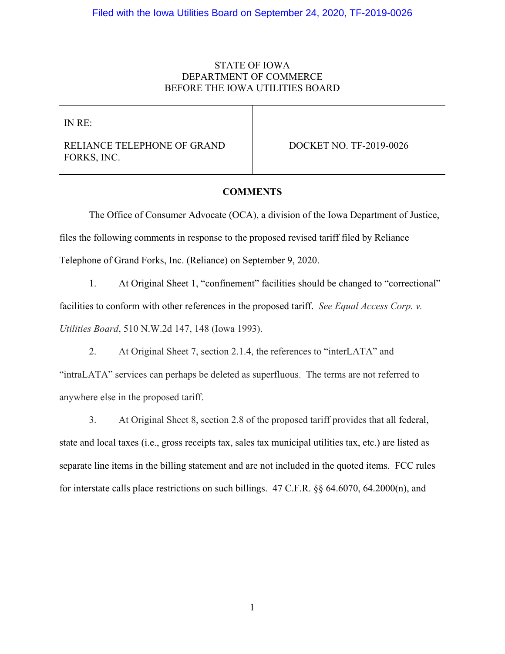# STATE OF IOWA DEPARTMENT OF COMMERCE BEFORE THE IOWA UTILITIES BOARD

IN RE:

RELIANCE TELEPHONE OF GRAND FORKS, INC.

DOCKET NO. TF-2019-0026

## **COMMENTS**

The Office of Consumer Advocate (OCA), a division of the Iowa Department of Justice, files the following comments in response to the proposed revised tariff filed by Reliance Telephone of Grand Forks, Inc. (Reliance) on September 9, 2020.

1. At Original Sheet 1, "confinement" facilities should be changed to "correctional" facilities to conform with other references in the proposed tariff. *See Equal Access Corp. v. Utilities Board*, 510 N.W.2d 147, 148 (Iowa 1993).

2. At Original Sheet 7, section 2.1.4, the references to "interLATA" and "intraLATA" services can perhaps be deleted as superfluous. The terms are not referred to anywhere else in the proposed tariff.

3. At Original Sheet 8, section 2.8 of the proposed tariff provides that all federal, state and local taxes (i.e., gross receipts tax, sales tax municipal utilities tax, etc.) are listed as separate line items in the billing statement and are not included in the quoted items. FCC rules for interstate calls place restrictions on such billings. 47 C.F.R. §§ 64.6070, 64.2000(n), and

1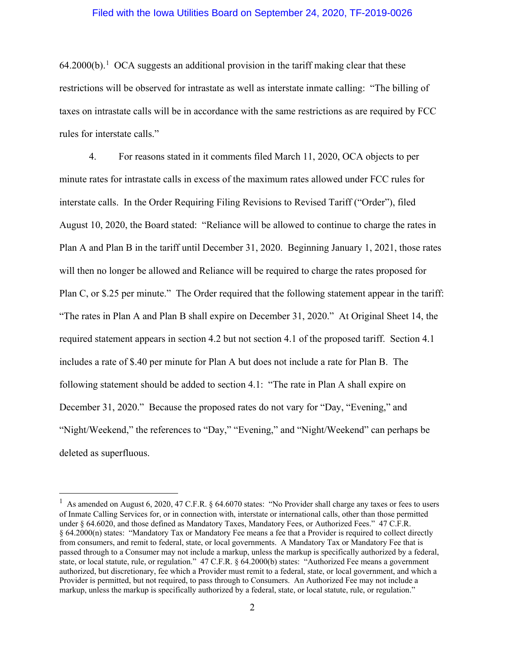### Filed with the Iowa Utilities Board on September 24, 2020, TF-2019-0026

 $64.2000(b)$ <sup>[1](#page-1-0)</sup> OCA suggests an additional provision in the tariff making clear that these restrictions will be observed for intrastate as well as interstate inmate calling: "The billing of taxes on intrastate calls will be in accordance with the same restrictions as are required by FCC rules for interstate calls."

4. For reasons stated in it comments filed March 11, 2020, OCA objects to per minute rates for intrastate calls in excess of the maximum rates allowed under FCC rules for interstate calls. In the Order Requiring Filing Revisions to Revised Tariff ("Order"), filed August 10, 2020, the Board stated: "Reliance will be allowed to continue to charge the rates in Plan A and Plan B in the tariff until December 31, 2020. Beginning January 1, 2021, those rates will then no longer be allowed and Reliance will be required to charge the rates proposed for Plan C, or \$.25 per minute." The Order required that the following statement appear in the tariff: "The rates in Plan A and Plan B shall expire on December 31, 2020." At Original Sheet 14, the required statement appears in section 4.2 but not section 4.1 of the proposed tariff. Section 4.1 includes a rate of \$.40 per minute for Plan A but does not include a rate for Plan B. The following statement should be added to section 4.1: "The rate in Plan A shall expire on December 31, 2020." Because the proposed rates do not vary for "Day, "Evening," and "Night/Weekend," the references to "Day," "Evening," and "Night/Weekend" can perhaps be deleted as superfluous.

<span id="page-1-0"></span> $\frac{1}{1}$  As amended on August 6, 2020, 47 C.F.R. § 64.6070 states: "No Provider shall charge any taxes or fees to users of Inmate Calling Services for, or in connection with, interstate or international calls, other than those permitted under § 64.6020, and those defined as Mandatory Taxes, Mandatory Fees, or Authorized Fees." 47 C.F.R. § 64.2000(n) states: "Mandatory Tax or Mandatory Fee means a fee that a Provider is required to collect directly from consumers, and remit to federal, state, or local governments. A Mandatory Tax or Mandatory Fee that is passed through to a Consumer may not include a markup, unless the markup is specifically authorized by a federal, state, or local statute, rule, or regulation." 47 C.F.R. § 64.2000(b) states: "Authorized Fee means a government authorized, but discretionary, fee which a Provider must remit to a federal, state, or local government, and which a Provider is permitted, but not required, to pass through to Consumers. An Authorized Fee may not include a markup, unless the markup is specifically authorized by a federal, state, or local statute, rule, or regulation."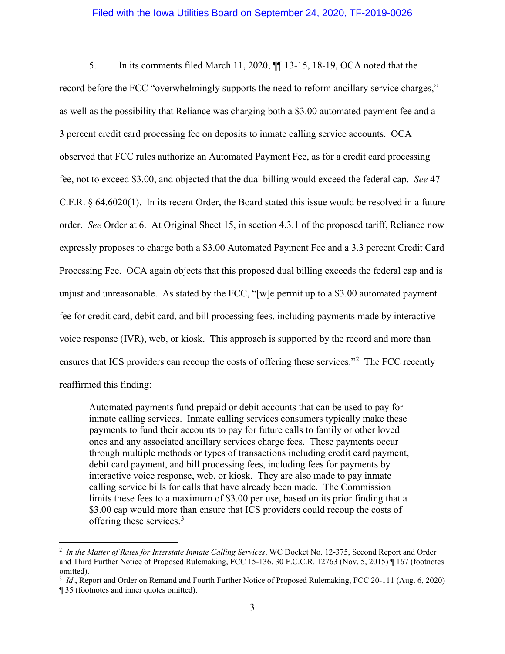### Filed with the Iowa Utilities Board on September 24, 2020, TF-2019-0026

5. In its comments filed March 11, 2020, ¶¶ 13-15, 18-19, OCA noted that the record before the FCC "overwhelmingly supports the need to reform ancillary service charges," as well as the possibility that Reliance was charging both a \$3.00 automated payment fee and a 3 percent credit card processing fee on deposits to inmate calling service accounts. OCA observed that FCC rules authorize an Automated Payment Fee, as for a credit card processing fee, not to exceed \$3.00, and objected that the dual billing would exceed the federal cap. *See* 47 C.F.R. § 64.6020(1). In its recent Order, the Board stated this issue would be resolved in a future order. *See* Order at 6. At Original Sheet 15, in section 4.3.1 of the proposed tariff, Reliance now expressly proposes to charge both a \$3.00 Automated Payment Fee and a 3.3 percent Credit Card Processing Fee. OCA again objects that this proposed dual billing exceeds the federal cap and is unjust and unreasonable. As stated by the FCC, "[w]e permit up to a \$3.00 automated payment fee for credit card, debit card, and bill processing fees, including payments made by interactive voice response (IVR), web, or kiosk. This approach is supported by the record and more than ensures that ICS providers can recoup the costs of offering these services."<sup>[2](#page-2-0)</sup> The FCC recently reaffirmed this finding:

Automated payments fund prepaid or debit accounts that can be used to pay for inmate calling services. Inmate calling services consumers typically make these payments to fund their accounts to pay for future calls to family or other loved ones and any associated ancillary services charge fees. These payments occur through multiple methods or types of transactions including credit card payment, debit card payment, and bill processing fees, including fees for payments by interactive voice response, web, or kiosk. They are also made to pay inmate calling service bills for calls that have already been made. The Commission limits these fees to a maximum of \$3.00 per use, based on its prior finding that a \$3.00 cap would more than ensure that ICS providers could recoup the costs of offering these services.<sup>[3](#page-2-1)</sup>

<span id="page-2-0"></span> <sup>2</sup> *In the Matter of Rates for Interstate Inmate Calling Services*, WC Docket No. 12-375, Second Report and Order and Third Further Notice of Proposed Rulemaking, FCC 15-136, 30 F.C.C.R. 12763 (Nov. 5, 2015) ¶ 167 (footnotes omitted).

<span id="page-2-1"></span><sup>&</sup>lt;sup>3</sup> *Id.*, Report and Order on Remand and Fourth Further Notice of Proposed Rulemaking, FCC 20-111 (Aug. 6, 2020) ¶ 35 (footnotes and inner quotes omitted).